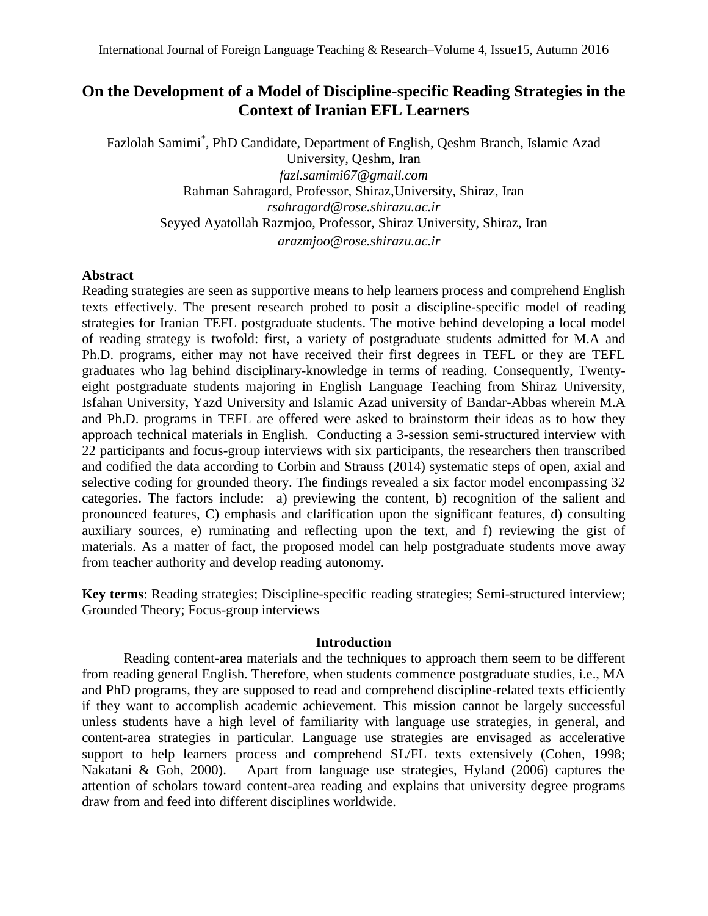# **On the Development of a Model of Discipline-specific Reading Strategies in the Context of Iranian EFL Learners**

Fazlolah Samimi\* , PhD Candidate, Department of English, Qeshm Branch, Islamic Azad University, Qeshm, Iran *fazl.samimi67@gmail.com* Rahman Sahragard, Professor, Shiraz,University, Shiraz, Iran *[rsahragard@rose.shirazu.ac.ir](mailto:rsahragard@rose.shirazu.ac.ir)* Seyyed Ayatollah Razmjoo, Professor, Shiraz University, Shiraz, Iran *arazmjoo@rose.shirazu.ac.ir*

### **Abstract**

Reading strategies are seen as supportive means to help learners process and comprehend English texts effectively. The present research probed to posit a discipline-specific model of reading strategies for Iranian TEFL postgraduate students. The motive behind developing a local model of reading strategy is twofold: first, a variety of postgraduate students admitted for M.A and Ph.D. programs, either may not have received their first degrees in TEFL or they are TEFL graduates who lag behind disciplinary-knowledge in terms of reading. Consequently, Twentyeight postgraduate students majoring in English Language Teaching from Shiraz University, Isfahan University, Yazd University and Islamic Azad university of Bandar-Abbas wherein M.A and Ph.D. programs in TEFL are offered were asked to brainstorm their ideas as to how they approach technical materials in English. Conducting a 3-session semi-structured interview with 22 participants and focus-group interviews with six participants, the researchers then transcribed and codified the data according to Corbin and Strauss (2014) systematic steps of open, axial and selective coding for grounded theory. The findings revealed a six factor model encompassing 32 categories**.** The factors include:a) previewing the content, b) recognition of the salient and pronounced features, C) emphasis and clarification upon the significant features, d) consulting auxiliary sources, e) ruminating and reflecting upon the text, and f) reviewing the gist of materials. As a matter of fact, the proposed model can help postgraduate students move away from teacher authority and develop reading autonomy.

**Key terms**: Reading strategies; Discipline-specific reading strategies; Semi-structured interview; Grounded Theory; Focus-group interviews

### **Introduction**

Reading content-area materials and the techniques to approach them seem to be different from reading general English. Therefore, when students commence postgraduate studies, i.e., MA and PhD programs, they are supposed to read and comprehend discipline-related texts efficiently if they want to accomplish academic achievement. This mission cannot be largely successful unless students have a high level of familiarity with language use strategies, in general, and content-area strategies in particular. Language use strategies are envisaged as accelerative support to help learners process and comprehend SL/FL texts extensively (Cohen, 1998; Nakatani & Goh, 2000). Apart from language use strategies, Hyland (2006) captures the attention of scholars toward content-area reading and explains that university degree programs draw from and feed into different disciplines worldwide.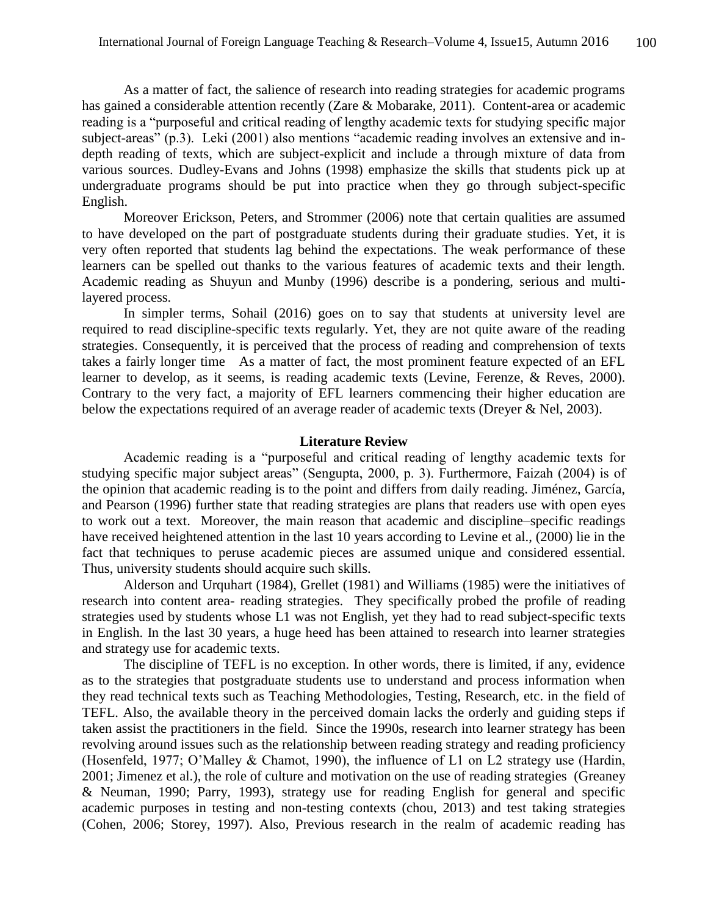As a matter of fact, the salience of research into reading strategies for academic programs has gained a considerable attention recently (Zare & Mobarake, 2011). Content-area or academic reading is a "purposeful and critical reading of lengthy academic texts for studying specific major subject-areas" (p.3). Leki (2001) also mentions "academic reading involves an extensive and indepth reading of texts, which are subject-explicit and include a through mixture of data from various sources. Dudley-Evans and Johns (1998) emphasize the skills that students pick up at undergraduate programs should be put into practice when they go through subject-specific English.

Moreover Erickson, Peters, and Strommer (2006) note that certain qualities are assumed to have developed on the part of postgraduate students during their graduate studies. Yet, it is very often reported that students lag behind the expectations. The weak performance of these learners can be spelled out thanks to the various features of academic texts and their length. Academic reading as Shuyun and Munby (1996) describe is a pondering, serious and multilayered process.

In simpler terms, Sohail (2016) goes on to say that students at university level are required to read discipline-specific texts regularly. Yet, they are not quite aware of the reading strategies. Consequently, it is perceived that the process of reading and comprehension of texts takes a fairly longer time As a matter of fact, the most prominent feature expected of an EFL learner to develop, as it seems, is reading academic texts (Levine, Ferenze, & Reves, 2000). Contrary to the very fact, a majority of EFL learners commencing their higher education are below the expectations required of an average reader of academic texts (Dreyer & Nel, 2003).

### **Literature Review**

Academic reading is a "purposeful and critical reading of lengthy academic texts for studying specific major subject areas" (Sengupta, 2000, p. 3). Furthermore, Faizah (2004) is of the opinion that academic reading is to the point and differs from daily reading. Jiménez, García, and Pearson (1996) further state that reading strategies are plans that readers use with open eyes to work out a text. Moreover, the main reason that academic and discipline–specific readings have received heightened attention in the last 10 years according to Levine et al., (2000) lie in the fact that techniques to peruse academic pieces are assumed unique and considered essential. Thus, university students should acquire such skills.

Alderson and Urquhart (1984), Grellet (1981) and Williams (1985) were the initiatives of research into content area- reading strategies. They specifically probed the profile of reading strategies used by students whose L1 was not English, yet they had to read subject-specific texts in English. In the last 30 years, a huge heed has been attained to research into learner strategies and strategy use for academic texts.

The discipline of TEFL is no exception. In other words, there is limited, if any, evidence as to the strategies that postgraduate students use to understand and process information when they read technical texts such as Teaching Methodologies, Testing, Research, etc. in the field of TEFL. Also, the available theory in the perceived domain lacks the orderly and guiding steps if taken assist the practitioners in the field. Since the 1990s, research into learner strategy has been revolving around issues such as the relationship between reading strategy and reading proficiency (Hosenfeld, 1977; O'Malley & Chamot, 1990), the influence of L1 on L2 strategy use (Hardin, 2001; Jimenez et al.), the role of culture and motivation on the use of reading strategies (Greaney & Neuman, 1990; Parry, 1993), strategy use for reading English for general and specific academic purposes in testing and non-testing contexts (chou, 2013) and test taking strategies (Cohen, 2006; Storey, 1997). Also, Previous research in the realm of academic reading has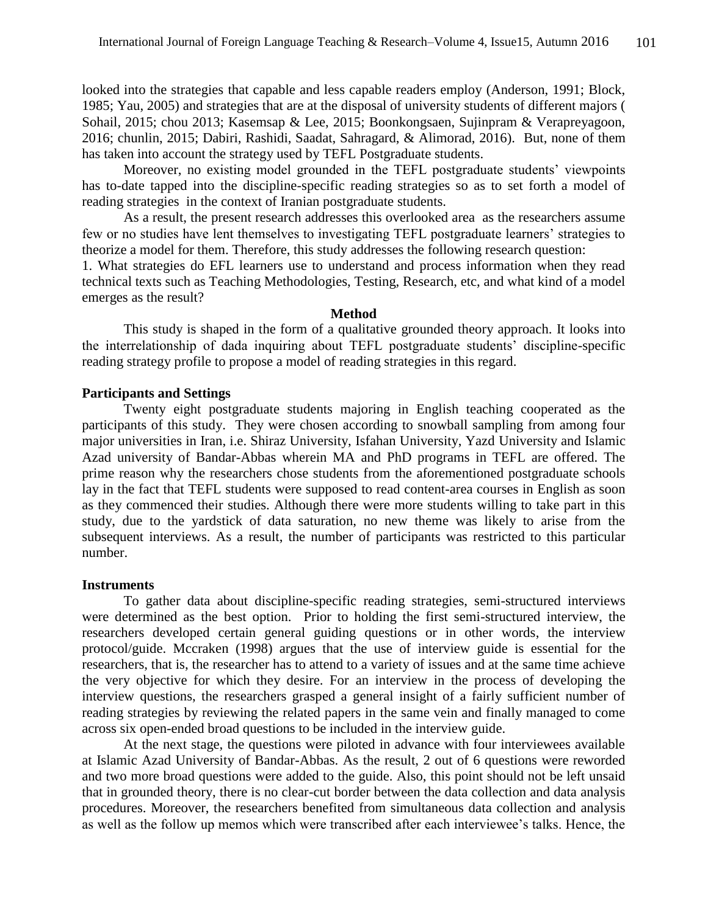looked into the strategies that capable and less capable readers employ (Anderson, 1991; Block, 1985; Yau, 2005) and strategies that are at the disposal of university students of different majors ( Sohail, 2015; chou 2013; Kasemsap & Lee, 2015; Boonkongsaen, Sujinpram & Verapreyagoon, 2016; chunlin, 2015; Dabiri, Rashidi, Saadat, Sahragard, & Alimorad, 2016). But, none of them has taken into account the strategy used by TEFL Postgraduate students.

Moreover, no existing model grounded in the TEFL postgraduate students' viewpoints has to-date tapped into the discipline-specific reading strategies so as to set forth a model of reading strategies in the context of Iranian postgraduate students.

As a result, the present research addresses this overlooked area as the researchers assume few or no studies have lent themselves to investigating TEFL postgraduate learners' strategies to theorize a model for them. Therefore, this study addresses the following research question:

1. What strategies do EFL learners use to understand and process information when they read technical texts such as Teaching Methodologies, Testing, Research, etc, and what kind of a model emerges as the result?

#### **Method**

This study is shaped in the form of a qualitative grounded theory approach. It looks into the interrelationship of dada inquiring about TEFL postgraduate students' discipline-specific reading strategy profile to propose a model of reading strategies in this regard.

### **Participants and Settings**

Twenty eight postgraduate students majoring in English teaching cooperated as the participants of this study. They were chosen according to snowball sampling from among four major universities in Iran, i.e. Shiraz University, Isfahan University, Yazd University and Islamic Azad university of Bandar-Abbas wherein MA and PhD programs in TEFL are offered. The prime reason why the researchers chose students from the aforementioned postgraduate schools lay in the fact that TEFL students were supposed to read content-area courses in English as soon as they commenced their studies. Although there were more students willing to take part in this study, due to the yardstick of data saturation, no new theme was likely to arise from the subsequent interviews. As a result, the number of participants was restricted to this particular number.

### **Instruments**

To gather data about discipline-specific reading strategies, semi-structured interviews were determined as the best option. Prior to holding the first semi-structured interview, the researchers developed certain general guiding questions or in other words, the interview protocol/guide. Mccraken (1998) argues that the use of interview guide is essential for the researchers, that is, the researcher has to attend to a variety of issues and at the same time achieve the very objective for which they desire. For an interview in the process of developing the interview questions, the researchers grasped a general insight of a fairly sufficient number of reading strategies by reviewing the related papers in the same vein and finally managed to come across six open-ended broad questions to be included in the interview guide.

At the next stage, the questions were piloted in advance with four interviewees available at Islamic Azad University of Bandar-Abbas. As the result, 2 out of 6 questions were reworded and two more broad questions were added to the guide. Also, this point should not be left unsaid that in grounded theory, there is no clear-cut border between the data collection and data analysis procedures. Moreover, the researchers benefited from simultaneous data collection and analysis as well as the follow up memos which were transcribed after each interviewee's talks. Hence, the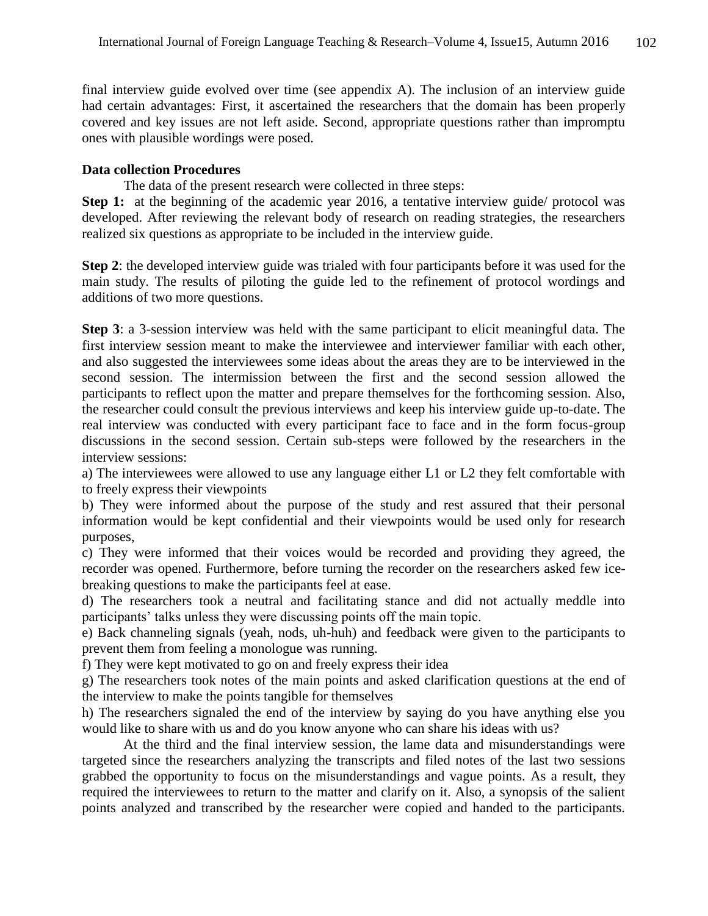final interview guide evolved over time (see appendix A). The inclusion of an interview guide had certain advantages: First, it ascertained the researchers that the domain has been properly covered and key issues are not left aside. Second, appropriate questions rather than impromptu ones with plausible wordings were posed.

### **Data collection Procedures**

The data of the present research were collected in three steps:

**Step 1:** at the beginning of the academic year 2016, a tentative interview guide/ protocol was developed. After reviewing the relevant body of research on reading strategies, the researchers realized six questions as appropriate to be included in the interview guide.

**Step 2**: the developed interview guide was trialed with four participants before it was used for the main study. The results of piloting the guide led to the refinement of protocol wordings and additions of two more questions.

**Step 3**: a 3-session interview was held with the same participant to elicit meaningful data. The first interview session meant to make the interviewee and interviewer familiar with each other, and also suggested the interviewees some ideas about the areas they are to be interviewed in the second session. The intermission between the first and the second session allowed the participants to reflect upon the matter and prepare themselves for the forthcoming session. Also, the researcher could consult the previous interviews and keep his interview guide up-to-date. The real interview was conducted with every participant face to face and in the form focus-group discussions in the second session. Certain sub-steps were followed by the researchers in the interview sessions:

a) The interviewees were allowed to use any language either L1 or L2 they felt comfortable with to freely express their viewpoints

b) They were informed about the purpose of the study and rest assured that their personal information would be kept confidential and their viewpoints would be used only for research purposes,

c) They were informed that their voices would be recorded and providing they agreed, the recorder was opened. Furthermore, before turning the recorder on the researchers asked few icebreaking questions to make the participants feel at ease.

d) The researchers took a neutral and facilitating stance and did not actually meddle into participants' talks unless they were discussing points off the main topic.

e) Back channeling signals (yeah, nods, uh-huh) and feedback were given to the participants to prevent them from feeling a monologue was running.

f) They were kept motivated to go on and freely express their idea

g) The researchers took notes of the main points and asked clarification questions at the end of the interview to make the points tangible for themselves

h) The researchers signaled the end of the interview by saying do you have anything else you would like to share with us and do you know anyone who can share his ideas with us?

At the third and the final interview session, the lame data and misunderstandings were targeted since the researchers analyzing the transcripts and filed notes of the last two sessions grabbed the opportunity to focus on the misunderstandings and vague points. As a result, they required the interviewees to return to the matter and clarify on it. Also, a synopsis of the salient points analyzed and transcribed by the researcher were copied and handed to the participants.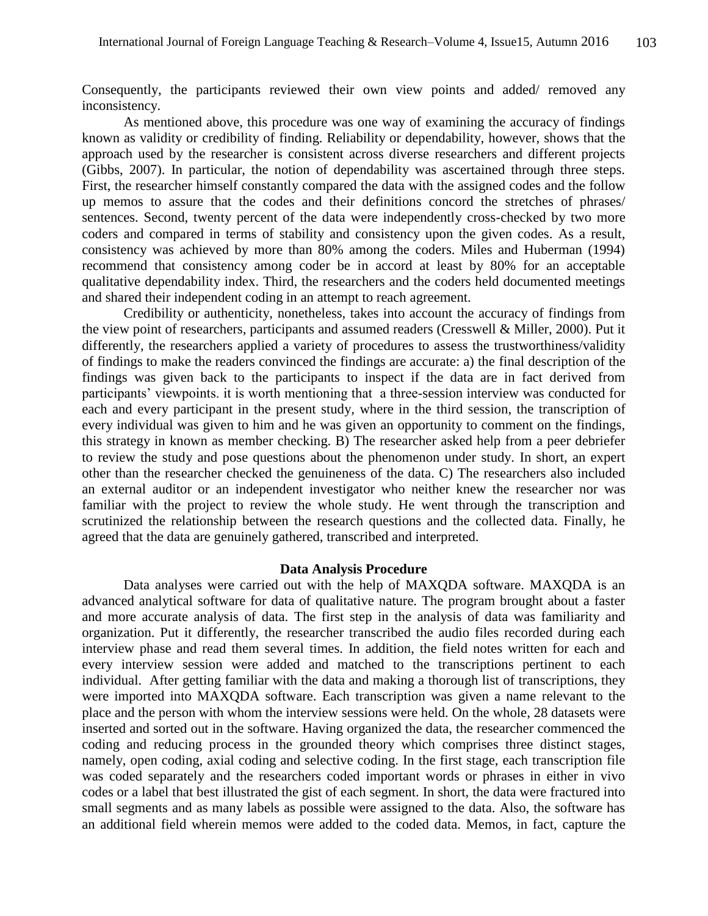Consequently, the participants reviewed their own view points and added/ removed any inconsistency.

As mentioned above, this procedure was one way of examining the accuracy of findings known as validity or credibility of finding. Reliability or dependability, however, shows that the approach used by the researcher is consistent across diverse researchers and different projects (Gibbs, 2007). In particular, the notion of dependability was ascertained through three steps. First, the researcher himself constantly compared the data with the assigned codes and the follow up memos to assure that the codes and their definitions concord the stretches of phrases/ sentences. Second, twenty percent of the data were independently cross-checked by two more coders and compared in terms of stability and consistency upon the given codes. As a result, consistency was achieved by more than 80% among the coders. Miles and Huberman (1994) recommend that consistency among coder be in accord at least by 80% for an acceptable qualitative dependability index. Third, the researchers and the coders held documented meetings and shared their independent coding in an attempt to reach agreement.

Credibility or authenticity, nonetheless, takes into account the accuracy of findings from the view point of researchers, participants and assumed readers (Cresswell & Miller, 2000). Put it differently, the researchers applied a variety of procedures to assess the trustworthiness/validity of findings to make the readers convinced the findings are accurate: a) the final description of the findings was given back to the participants to inspect if the data are in fact derived from participants' viewpoints. it is worth mentioning that a three-session interview was conducted for each and every participant in the present study, where in the third session, the transcription of every individual was given to him and he was given an opportunity to comment on the findings, this strategy in known as member checking. B) The researcher asked help from a peer debriefer to review the study and pose questions about the phenomenon under study. In short, an expert other than the researcher checked the genuineness of the data. C) The researchers also included an external auditor or an independent investigator who neither knew the researcher nor was familiar with the project to review the whole study. He went through the transcription and scrutinized the relationship between the research questions and the collected data. Finally, he agreed that the data are genuinely gathered, transcribed and interpreted.

### **Data Analysis Procedure**

Data analyses were carried out with the help of MAXQDA software. MAXQDA is an advanced analytical software for data of qualitative nature. The program brought about a faster and more accurate analysis of data. The first step in the analysis of data was familiarity and organization. Put it differently, the researcher transcribed the audio files recorded during each interview phase and read them several times. In addition, the field notes written for each and every interview session were added and matched to the transcriptions pertinent to each individual. After getting familiar with the data and making a thorough list of transcriptions, they were imported into MAXQDA software. Each transcription was given a name relevant to the place and the person with whom the interview sessions were held. On the whole, 28 datasets were inserted and sorted out in the software. Having organized the data, the researcher commenced the coding and reducing process in the grounded theory which comprises three distinct stages, namely, open coding, axial coding and selective coding. In the first stage, each transcription file was coded separately and the researchers coded important words or phrases in either in vivo codes or a label that best illustrated the gist of each segment. In short, the data were fractured into small segments and as many labels as possible were assigned to the data. Also, the software has an additional field wherein memos were added to the coded data. Memos, in fact, capture the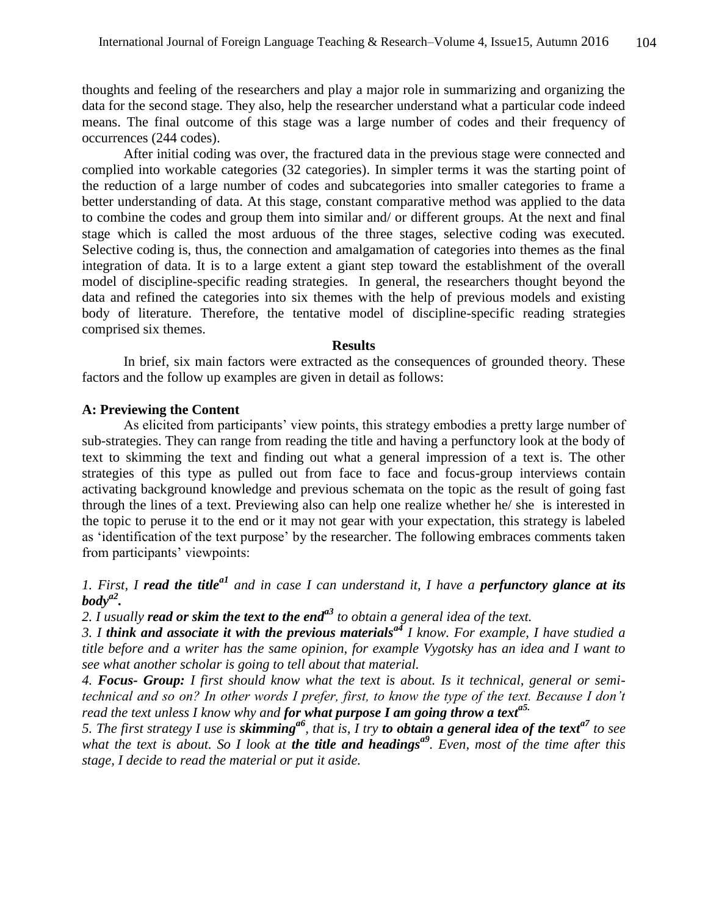thoughts and feeling of the researchers and play a major role in summarizing and organizing the data for the second stage. They also, help the researcher understand what a particular code indeed means. The final outcome of this stage was a large number of codes and their frequency of occurrences (244 codes).

After initial coding was over, the fractured data in the previous stage were connected and complied into workable categories (32 categories). In simpler terms it was the starting point of the reduction of a large number of codes and subcategories into smaller categories to frame a better understanding of data. At this stage, constant comparative method was applied to the data to combine the codes and group them into similar and/ or different groups. At the next and final stage which is called the most arduous of the three stages, selective coding was executed. Selective coding is, thus, the connection and amalgamation of categories into themes as the final integration of data. It is to a large extent a giant step toward the establishment of the overall model of discipline-specific reading strategies. In general, the researchers thought beyond the data and refined the categories into six themes with the help of previous models and existing body of literature. Therefore, the tentative model of discipline-specific reading strategies comprised six themes.

#### **Results**

In brief, six main factors were extracted as the consequences of grounded theory. These factors and the follow up examples are given in detail as follows:

### **A: Previewing the Content**

As elicited from participants' view points, this strategy embodies a pretty large number of sub-strategies. They can range from reading the title and having a perfunctory look at the body of text to skimming the text and finding out what a general impression of a text is. The other strategies of this type as pulled out from face to face and focus-group interviews contain activating background knowledge and previous schemata on the topic as the result of going fast through the lines of a text. Previewing also can help one realize whether he/ she is interested in the topic to peruse it to the end or it may not gear with your expectation, this strategy is labeled as 'identification of the text purpose' by the researcher. The following embraces comments taken from participants' viewpoints:

*1. First, I read the titlea1 and in case I can understand it, I have a perfunctory glance at its bodya2 .*

*2. I usually read or skim the text to the enda3 to obtain a general idea of the text.*

*3. I think and associate it with the previous materialsa4 I know. For example, I have studied a title before and a writer has the same opinion, for example Vygotsky has an idea and I want to see what another scholar is going to tell about that material.*

*4. Focus- Group: I first should know what the text is about. Is it technical, general or semitechnical and so on? In other words I prefer, first, to know the type of the text. Because I don't read the text unless I know why and for what purpose I am going throw a texta5.*

*5. The first strategy I use is skimminga6, that is, I try to obtain a general idea of the texta7 to see what the text is about. So I look at the title and headingsa9. Even, most of the time after this stage, I decide to read the material or put it aside.*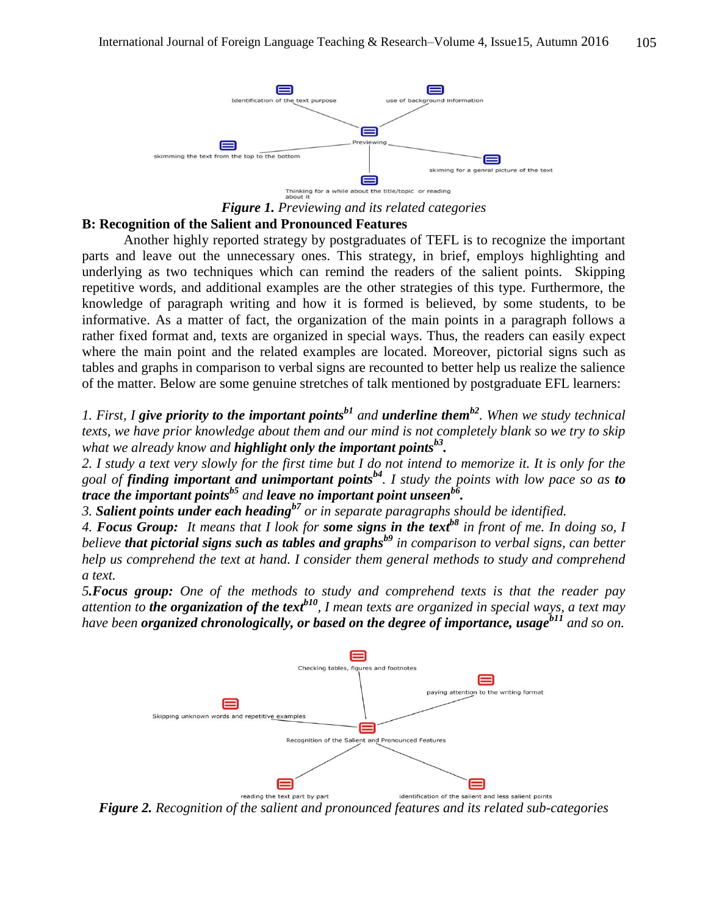

*Figure 1. Previewing and its related categories*

## **B: Recognition of the Salient and Pronounced Features**

Another highly reported strategy by postgraduates of TEFL is to recognize the important parts and leave out the unnecessary ones. This strategy, in brief, employs highlighting and underlying as two techniques which can remind the readers of the salient points. Skipping repetitive words, and additional examples are the other strategies of this type. Furthermore, the knowledge of paragraph writing and how it is formed is believed, by some students, to be informative. As a matter of fact, the organization of the main points in a paragraph follows a rather fixed format and, texts are organized in special ways. Thus, the readers can easily expect where the main point and the related examples are located. Moreover, pictorial signs such as tables and graphs in comparison to verbal signs are recounted to better help us realize the salience of the matter. Below are some genuine stretches of talk mentioned by postgraduate EFL learners:

*1. First, I give priority to the important pointsb1 and underline themb2. When we study technical texts, we have prior knowledge about them and our mind is not completely blank so we try to skip what we already know and highlight only the important pointsb3 .*

*2. I study a text very slowly for the first time but I do not intend to memorize it. It is only for the goal of finding important and unimportant pointsb4. I study the points with low pace so as to trace the important pointsb5 and leave no important point unseenb6 .*

*3. Salient points under each headingb7 or in separate paragraphs should be identified.*

*4. Focus Group: It means that I look for some signs in the textb8 in front of me. In doing so, I believe that pictorial signs such as tables and graphsb9 in comparison to verbal signs, can better help us comprehend the text at hand. I consider them general methods to study and comprehend a text.*

*5.Focus group: One of the methods to study and comprehend texts is that the reader pay attention to the organization of the textb10, I mean texts are organized in special ways, a text may have been organized chronologically, or based on the degree of importance, usageb11 and so on.*



*Figure 2. Recognition of the salient and pronounced features and its related sub-categories*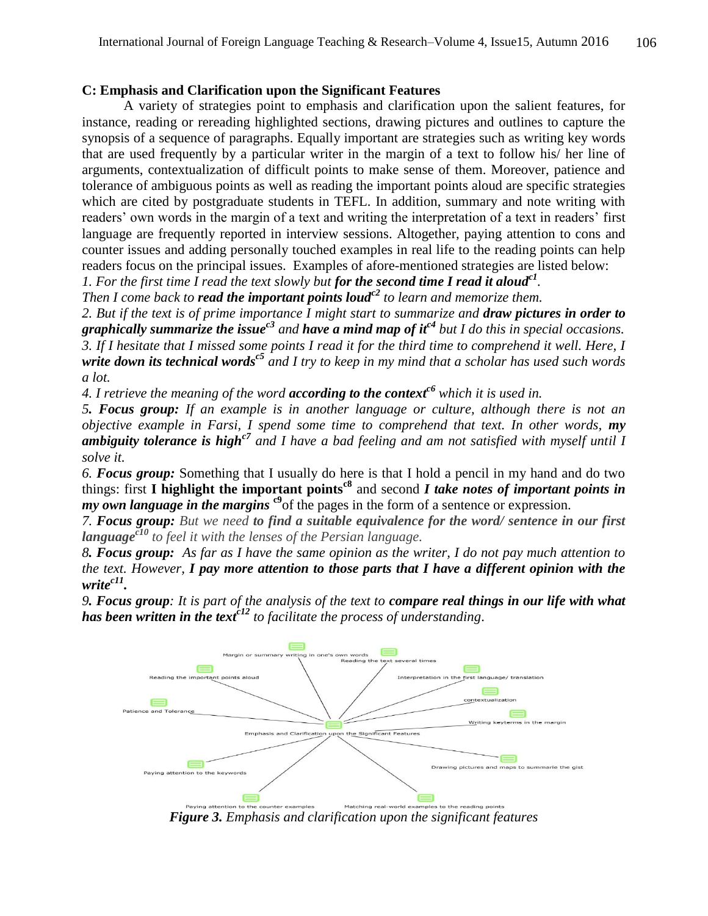### **C: Emphasis and Clarification upon the Significant Features**

A variety of strategies point to emphasis and clarification upon the salient features, for instance, reading or rereading highlighted sections, drawing pictures and outlines to capture the synopsis of a sequence of paragraphs. Equally important are strategies such as writing key words that are used frequently by a particular writer in the margin of a text to follow his/ her line of arguments, contextualization of difficult points to make sense of them. Moreover, patience and tolerance of ambiguous points as well as reading the important points aloud are specific strategies which are cited by postgraduate students in TEFL. In addition, summary and note writing with readers' own words in the margin of a text and writing the interpretation of a text in readers' first language are frequently reported in interview sessions. Altogether, paying attention to cons and counter issues and adding personally touched examples in real life to the reading points can help readers focus on the principal issues. Examples of afore-mentioned strategies are listed below:

*1. For the first time I read the text slowly but for the second time I read it aloudc1 .*

*Then I come back to read the important points loudc2 to learn and memorize them.*

*2. But if the text is of prime importance I might start to summarize and draw pictures in order to graphically summarize the issuec3 and have a mind map of itc4 but I do this in special occasions. 3. If I hesitate that I missed some points I read it for the third time to comprehend it well. Here, I write down its technical wordsc5 and I try to keep in my mind that a scholar has used such words a lot.*

*4. I retrieve the meaning of the word according to the contextc6 which it is used in.*

*5. Focus group: If an example is in another language or culture, although there is not an objective example in Farsi, I spend some time to comprehend that text. In other words, my ambiguity tolerance is highc7 and I have a bad feeling and am not satisfied with myself until I solve it.* 

*6. Focus group:* Something that I usually do here is that I hold a pencil in my hand and do two things: first **I highlight the important pointsc8** and second *I take notes of important points in my own language in the margins* <sup>c9</sup>of the pages in the form of a sentence or expression.

*7. Focus group: But we need to find a suitable equivalence for the word/ sentence in our first languagec10 to feel it with the lenses of the Persian language.*

*8. Focus group: As far as I have the same opinion as the writer, I do not pay much attention to the text. However, I pay more attention to those parts that I have a different opinion with the writec11 .*

*9. Focus group: It is part of the analysis of the text to compare real things in our life with what has been written in the textc12 to facilitate the process of understanding*.



*Figure 3. Emphasis and clarification upon the significant features*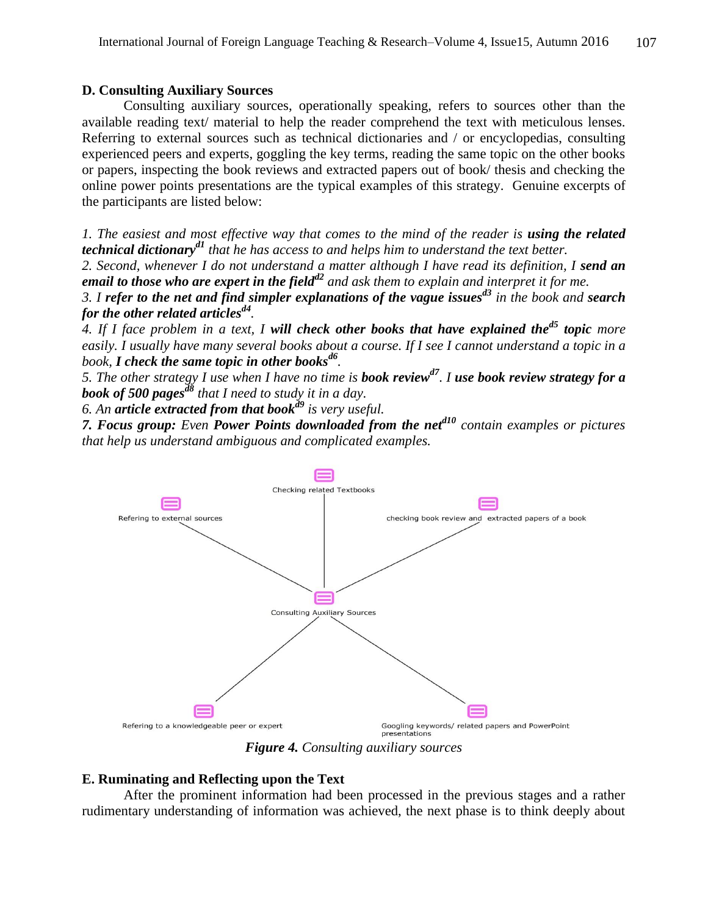#### **D. Consulting Auxiliary Sources**

Consulting auxiliary sources, operationally speaking, refers to sources other than the available reading text/ material to help the reader comprehend the text with meticulous lenses. Referring to external sources such as technical dictionaries and / or encyclopedias, consulting experienced peers and experts, goggling the key terms, reading the same topic on the other books or papers, inspecting the book reviews and extracted papers out of book/ thesis and checking the online power points presentations are the typical examples of this strategy. Genuine excerpts of the participants are listed below:

*1. The easiest and most effective way that comes to the mind of the reader is using the related technical dictionaryd1 that he has access to and helps him to understand the text better.*

2. *Second, whenever I do not understand a matter although I have read its definition, I send an email to those who are expert in the fieldd2 and ask them to explain and interpret it for me.* 

*3. I refer to the net and find simpler explanations of the vague issuesd3 in the book and search for the other related articlesd4 .*

*4. If I face problem in a text, I will check other books that have explained thed5 topic more easily. I usually have many several books about a course. If I see I cannot understand a topic in a book, I check the same topic in other booksd6 .*

*5. The other strategy I use when I have no time is book reviewd7. I use book review strategy for a book of 500 pagesd8 that I need to study it in a day.*

*6. An article extracted from that bookd9 is very useful.*

*7. Focus group: Even Power Points downloaded from the netd10 contain examples or pictures that help us understand ambiguous and complicated examples.*



*Figure 4. Consulting auxiliary sources*

### **E. Ruminating and Reflecting upon the Text**

After the prominent information had been processed in the previous stages and a rather rudimentary understanding of information was achieved, the next phase is to think deeply about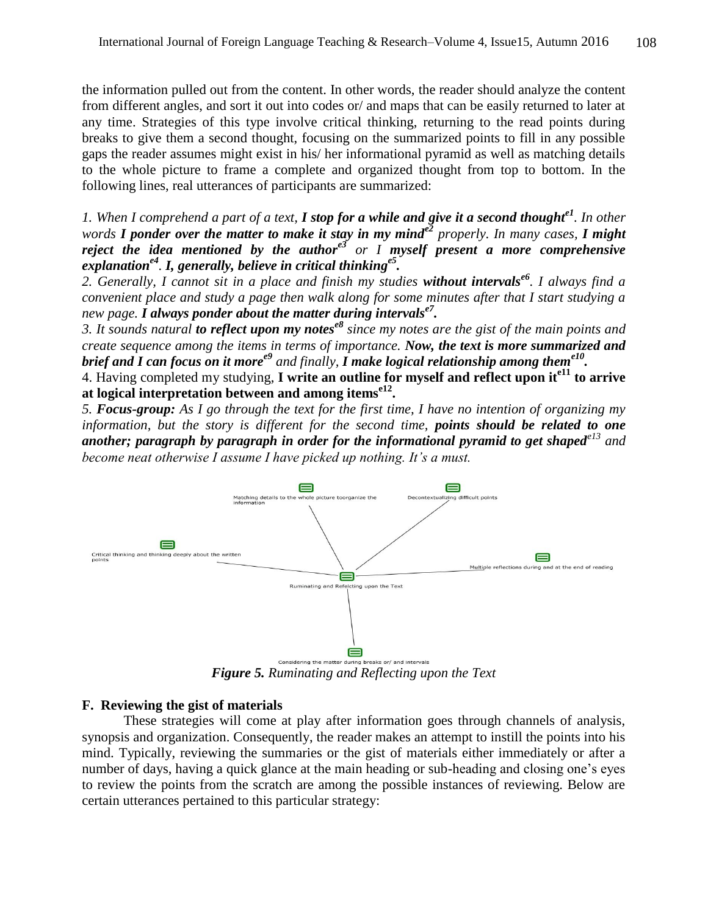the information pulled out from the content. In other words, the reader should analyze the content from different angles, and sort it out into codes or/ and maps that can be easily returned to later at any time. Strategies of this type involve critical thinking, returning to the read points during breaks to give them a second thought, focusing on the summarized points to fill in any possible gaps the reader assumes might exist in his/ her informational pyramid as well as matching details to the whole picture to frame a complete and organized thought from top to bottom. In the following lines, real utterances of participants are summarized:

*1. When I comprehend a part of a text, I stop for a while and give it a second thoughte1. In other words I ponder over the matter to make it stay in my minde2 properly. In many cases, I might reject the idea mentioned by the authore3 or I myself present a more comprehensive explanatione4 . I, generally, believe in critical thinkinge5 .*

*2. Generally, I cannot sit in a place and finish my studies without intervalse6. I always find a convenient place and study a page then walk along for some minutes after that I start studying a new page. I always ponder about the matter during intervalse7 .* 

*3. It sounds natural to reflect upon my notese8 since my notes are the gist of the main points and create sequence among the items in terms of importance. Now, the text is more summarized and brief and I can focus on it moree9 and finally, I make logical relationship among theme10 .*

4. Having completed my studying, **I write an outline for myself and reflect upon ite11 to arrive at logical interpretation between and among itemse12 .**

*5. Focus-group: As I go through the text for the first time, I have no intention of organizing my information, but the story is different for the second time, points should be related to one another; paragraph by paragraph in order for the informational pyramid to get shapede13 and become neat otherwise I assume I have picked up nothing. It's a must.*



*Figure 5. Ruminating and Reflecting upon the Text*

### **F. Reviewing the gist of materials**

These strategies will come at play after information goes through channels of analysis, synopsis and organization. Consequently, the reader makes an attempt to instill the points into his mind. Typically, reviewing the summaries or the gist of materials either immediately or after a number of days, having a quick glance at the main heading or sub-heading and closing one's eyes to review the points from the scratch are among the possible instances of reviewing. Below are certain utterances pertained to this particular strategy: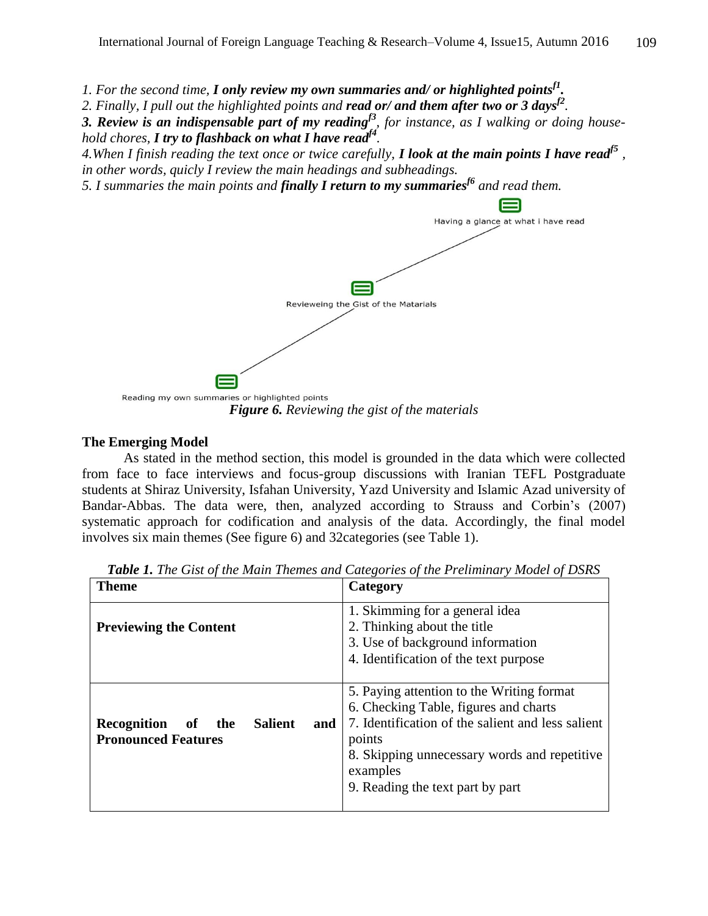*1. For the second time, I only review my own summaries and/ or highlighted pointsf1 .*

*2. Finally, I pull out the highlighted points and read or/ and them after two or 3 daysf2 .* 

*3. Review is an indispensable part of my readingf3, for instance, as I walking or doing household chores, I try to flashback on what I have readf4 .*

*4.When I finish reading the text once or twice carefully, I look at the main points I have readf5 , in other words, quicly I review the main headings and subheadings.*

*5. I summaries the main points and finally I return to my summariesf6 and read them.*



*Figure 6. Reviewing the gist of the materials*

### **The Emerging Model**

As stated in the method section, this model is grounded in the data which were collected from face to face interviews and focus-group discussions with Iranian TEFL Postgraduate students at Shiraz University, Isfahan University, Yazd University and Islamic Azad university of Bandar-Abbas. The data were, then, analyzed according to Strauss and Corbin's (2007) systematic approach for codification and analysis of the data. Accordingly, the final model involves six main themes (See figure 6) and 32categories (see Table 1).

| <b>Theme</b>                                                                 | Category                                                                                                                                                                                                                                          |
|------------------------------------------------------------------------------|---------------------------------------------------------------------------------------------------------------------------------------------------------------------------------------------------------------------------------------------------|
| <b>Previewing the Content</b>                                                | 1. Skimming for a general idea<br>2. Thinking about the title<br>3. Use of background information<br>4. Identification of the text purpose                                                                                                        |
| Recognition<br><b>Salient</b><br>of the<br>and<br><b>Pronounced Features</b> | 5. Paying attention to the Writing format<br>6. Checking Table, figures and charts<br>7. Identification of the salient and less salient<br>points<br>8. Skipping unnecessary words and repetitive<br>examples<br>9. Reading the text part by part |

*Table 1. The Gist of the Main Themes and Categories of the Preliminary Model of DSRS*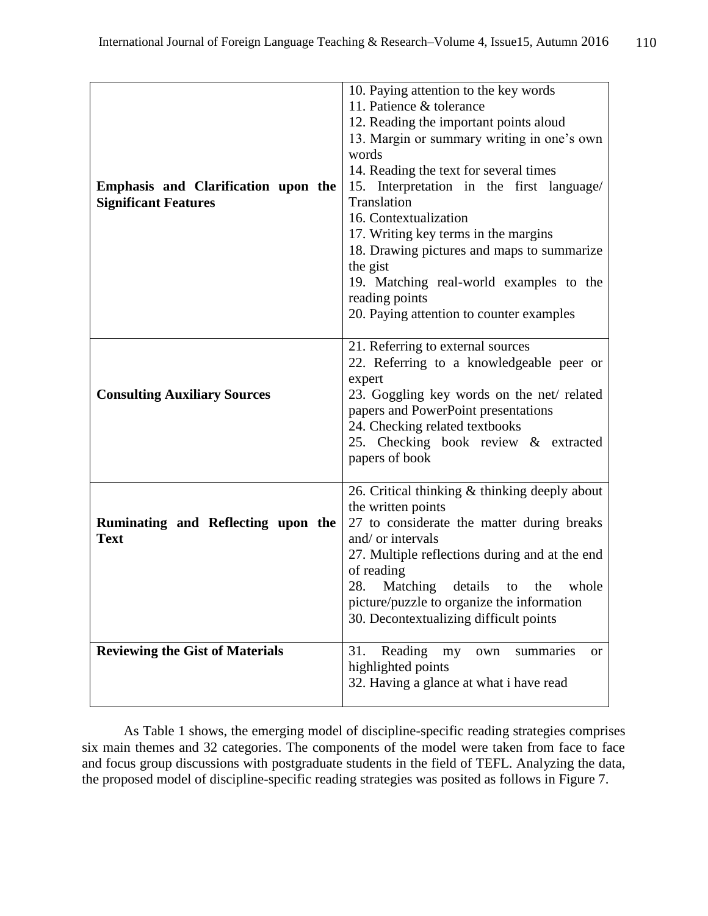| Emphasis and Clarification upon the<br><b>Significant Features</b> | 10. Paying attention to the key words<br>11. Patience & tolerance<br>12. Reading the important points aloud<br>13. Margin or summary writing in one's own<br>words<br>14. Reading the text for several times<br>15. Interpretation in the first language/<br>Translation<br>16. Contextualization<br>17. Writing key terms in the margins<br>18. Drawing pictures and maps to summarize<br>the gist<br>19. Matching real-world examples to the<br>reading points<br>20. Paying attention to counter examples |
|--------------------------------------------------------------------|--------------------------------------------------------------------------------------------------------------------------------------------------------------------------------------------------------------------------------------------------------------------------------------------------------------------------------------------------------------------------------------------------------------------------------------------------------------------------------------------------------------|
| <b>Consulting Auxiliary Sources</b>                                | 21. Referring to external sources<br>22. Referring to a knowledgeable peer or<br>expert<br>23. Goggling key words on the net/ related<br>papers and PowerPoint presentations<br>24. Checking related textbooks<br>25. Checking book review & extracted<br>papers of book                                                                                                                                                                                                                                     |
| Ruminating and Reflecting upon the<br><b>Text</b>                  | 26. Critical thinking & thinking deeply about<br>the written points<br>27 to considerate the matter during breaks<br>and/ or intervals<br>27. Multiple reflections during and at the end<br>of reading<br>28.<br>Matching details to the<br>whole<br>picture/puzzle to organize the information<br>30. Decontextualizing difficult points                                                                                                                                                                    |
| <b>Reviewing the Gist of Materials</b>                             | 31.<br>Reading<br>summaries<br>my<br>own<br>or<br>highlighted points<br>32. Having a glance at what i have read                                                                                                                                                                                                                                                                                                                                                                                              |

As Table 1 shows, the emerging model of discipline-specific reading strategies comprises six main themes and 32 categories. The components of the model were taken from face to face and focus group discussions with postgraduate students in the field of TEFL. Analyzing the data, the proposed model of discipline-specific reading strategies was posited as follows in Figure 7.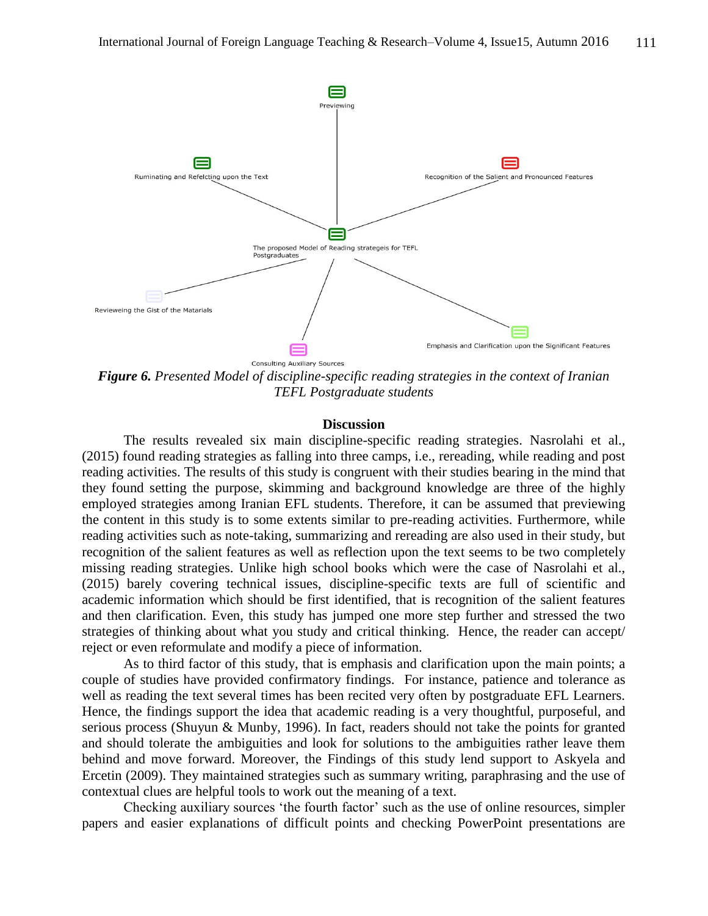

*Figure 6. Presented Model of discipline-specific reading strategies in the context of Iranian TEFL Postgraduate students*

#### **Discussion**

The results revealed six main discipline-specific reading strategies. Nasrolahi et al., (2015) found reading strategies as falling into three camps, i.e., rereading, while reading and post reading activities. The results of this study is congruent with their studies bearing in the mind that they found setting the purpose, skimming and background knowledge are three of the highly employed strategies among Iranian EFL students. Therefore, it can be assumed that previewing the content in this study is to some extents similar to pre-reading activities. Furthermore, while reading activities such as note-taking, summarizing and rereading are also used in their study, but recognition of the salient features as well as reflection upon the text seems to be two completely missing reading strategies. Unlike high school books which were the case of Nasrolahi et al., (2015) barely covering technical issues, discipline-specific texts are full of scientific and academic information which should be first identified, that is recognition of the salient features and then clarification. Even, this study has jumped one more step further and stressed the two strategies of thinking about what you study and critical thinking. Hence, the reader can accept/ reject or even reformulate and modify a piece of information.

As to third factor of this study, that is emphasis and clarification upon the main points; a couple of studies have provided confirmatory findings. For instance, patience and tolerance as well as reading the text several times has been recited very often by postgraduate EFL Learners. Hence, the findings support the idea that academic reading is a very thoughtful, purposeful, and serious process (Shuyun & Munby, 1996). In fact, readers should not take the points for granted and should tolerate the ambiguities and look for solutions to the ambiguities rather leave them behind and move forward. Moreover, the Findings of this study lend support to Askyela and Ercetin (2009). They maintained strategies such as summary writing, paraphrasing and the use of contextual clues are helpful tools to work out the meaning of a text.

Checking auxiliary sources 'the fourth factor' such as the use of online resources, simpler papers and easier explanations of difficult points and checking PowerPoint presentations are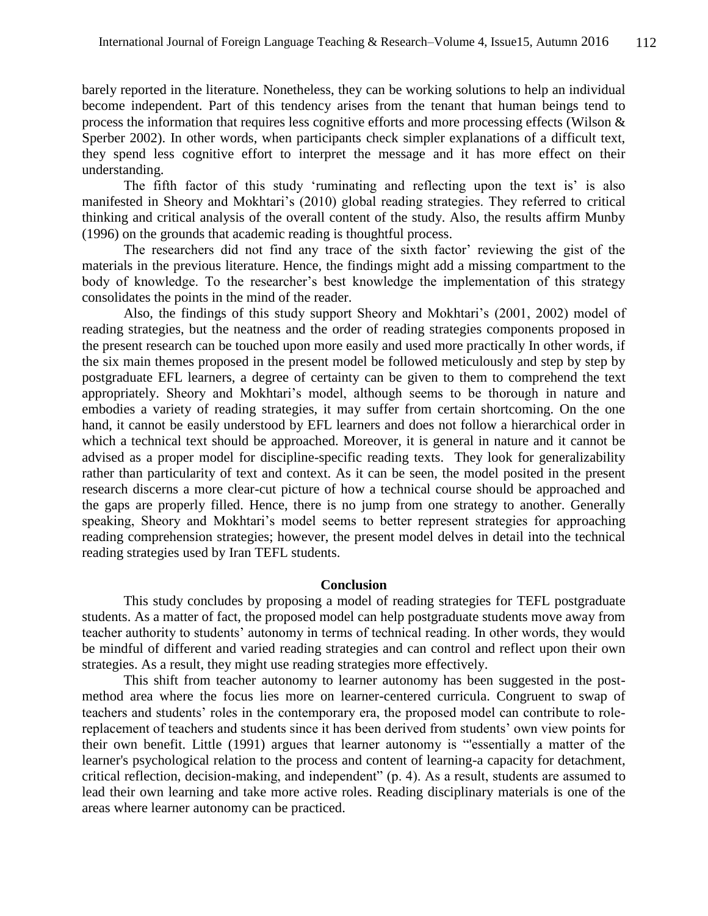barely reported in the literature. Nonetheless, they can be working solutions to help an individual become independent. Part of this tendency arises from the tenant that human beings tend to process the information that requires less cognitive efforts and more processing effects (Wilson & Sperber 2002). In other words, when participants check simpler explanations of a difficult text, they spend less cognitive effort to interpret the message and it has more effect on their understanding.

The fifth factor of this study 'ruminating and reflecting upon the text is' is also manifested in Sheory and Mokhtari's (2010) global reading strategies. They referred to critical thinking and critical analysis of the overall content of the study. Also, the results affirm Munby (1996) on the grounds that academic reading is thoughtful process.

The researchers did not find any trace of the sixth factor' reviewing the gist of the materials in the previous literature. Hence, the findings might add a missing compartment to the body of knowledge. To the researcher's best knowledge the implementation of this strategy consolidates the points in the mind of the reader.

Also, the findings of this study support Sheory and Mokhtari's (2001, 2002) model of reading strategies, but the neatness and the order of reading strategies components proposed in the present research can be touched upon more easily and used more practically In other words, if the six main themes proposed in the present model be followed meticulously and step by step by postgraduate EFL learners, a degree of certainty can be given to them to comprehend the text appropriately. Sheory and Mokhtari's model, although seems to be thorough in nature and embodies a variety of reading strategies, it may suffer from certain shortcoming. On the one hand, it cannot be easily understood by EFL learners and does not follow a hierarchical order in which a technical text should be approached. Moreover, it is general in nature and it cannot be advised as a proper model for discipline-specific reading texts. They look for generalizability rather than particularity of text and context. As it can be seen, the model posited in the present research discerns a more clear-cut picture of how a technical course should be approached and the gaps are properly filled. Hence, there is no jump from one strategy to another. Generally speaking, Sheory and Mokhtari's model seems to better represent strategies for approaching reading comprehension strategies; however, the present model delves in detail into the technical reading strategies used by Iran TEFL students.

#### **Conclusion**

This study concludes by proposing a model of reading strategies for TEFL postgraduate students. As a matter of fact, the proposed model can help postgraduate students move away from teacher authority to students' autonomy in terms of technical reading. In other words, they would be mindful of different and varied reading strategies and can control and reflect upon their own strategies. As a result, they might use reading strategies more effectively.

This shift from teacher autonomy to learner autonomy has been suggested in the postmethod area where the focus lies more on learner-centered curricula. Congruent to swap of teachers and students' roles in the contemporary era, the proposed model can contribute to rolereplacement of teachers and students since it has been derived from students' own view points for their own benefit. Little (1991) argues that learner autonomy is "'essentially a matter of the learner's psychological relation to the process and content of learning-a capacity for detachment, critical reflection, decision-making, and independent" (p. 4). As a result, students are assumed to lead their own learning and take more active roles. Reading disciplinary materials is one of the areas where learner autonomy can be practiced.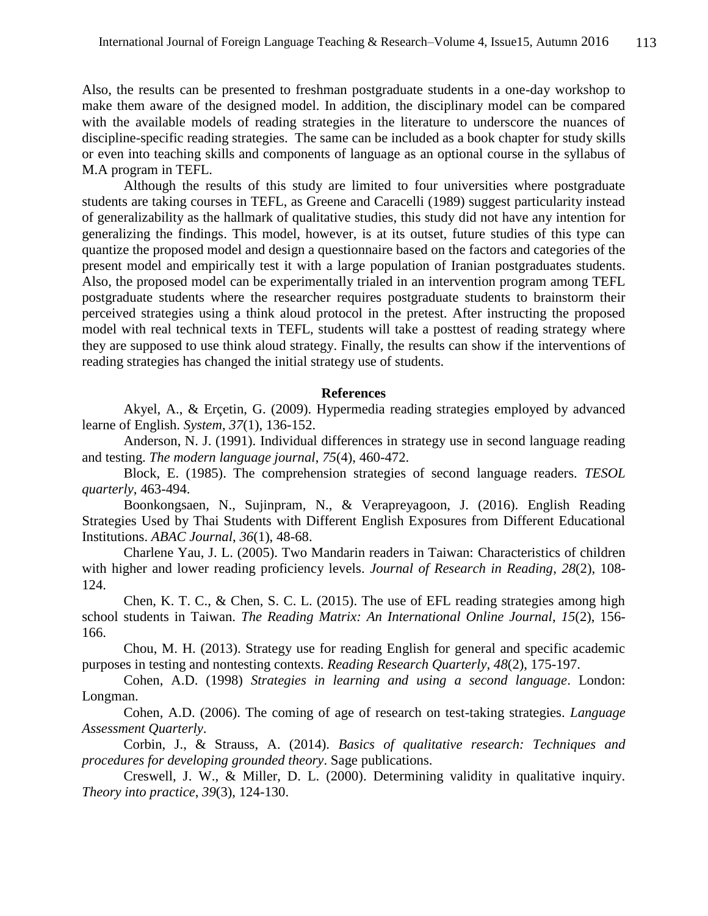Also, the results can be presented to freshman postgraduate students in a one-day workshop to make them aware of the designed model. In addition, the disciplinary model can be compared with the available models of reading strategies in the literature to underscore the nuances of discipline-specific reading strategies. The same can be included as a book chapter for study skills or even into teaching skills and components of language as an optional course in the syllabus of M.A program in TEFL.

Although the results of this study are limited to four universities where postgraduate students are taking courses in TEFL, as Greene and Caracelli (1989) suggest particularity instead of generalizability as the hallmark of qualitative studies, this study did not have any intention for generalizing the findings. This model, however, is at its outset, future studies of this type can quantize the proposed model and design a questionnaire based on the factors and categories of the present model and empirically test it with a large population of Iranian postgraduates students. Also, the proposed model can be experimentally trialed in an intervention program among TEFL postgraduate students where the researcher requires postgraduate students to brainstorm their perceived strategies using a think aloud protocol in the pretest. After instructing the proposed model with real technical texts in TEFL, students will take a posttest of reading strategy where they are supposed to use think aloud strategy. Finally, the results can show if the interventions of reading strategies has changed the initial strategy use of students.

### **References**

Akyel, A., & Erçetin, G. (2009). Hypermedia reading strategies employed by advanced learne of English. *System*, *37*(1), 136-152.

Anderson, N. J. (1991). Individual differences in strategy use in second language reading and testing. *The modern language journal*, *75*(4), 460-472.

Block, E. (1985). The comprehension strategies of second language readers. *TESOL quarterly*, 463-494.

Boonkongsaen, N., Sujinpram, N., & Verapreyagoon, J. (2016). English Reading Strategies Used by Thai Students with Different English Exposures from Different Educational Institutions. *ABAC Journal*, *36*(1), 48-68.

Charlene Yau, J. L. (2005). Two Mandarin readers in Taiwan: Characteristics of children with higher and lower reading proficiency levels. *Journal of Research in Reading*, *28*(2), 108- 124.

Chen, K. T. C., & Chen, S. C. L. (2015). The use of EFL reading strategies among high school students in Taiwan. *The Reading Matrix: An International Online Journal*, *15*(2), 156- 166.

Chou, M. H. (2013). Strategy use for reading English for general and specific academic purposes in testing and nontesting contexts. *Reading Research Quarterly*, *48*(2), 175-197.

Cohen, A.D. (1998) *Strategies in learning and using a second language*. London: Longman.

Cohen, A.D. (2006). The coming of age of research on test-taking strategies. *Language Assessment Quarterly*.

Corbin, J., & Strauss, A. (2014). *Basics of qualitative research: Techniques and procedures for developing grounded theory*. Sage publications.

Creswell, J. W., & Miller, D. L. (2000). Determining validity in qualitative inquiry. *Theory into practice*, *39*(3), 124-130.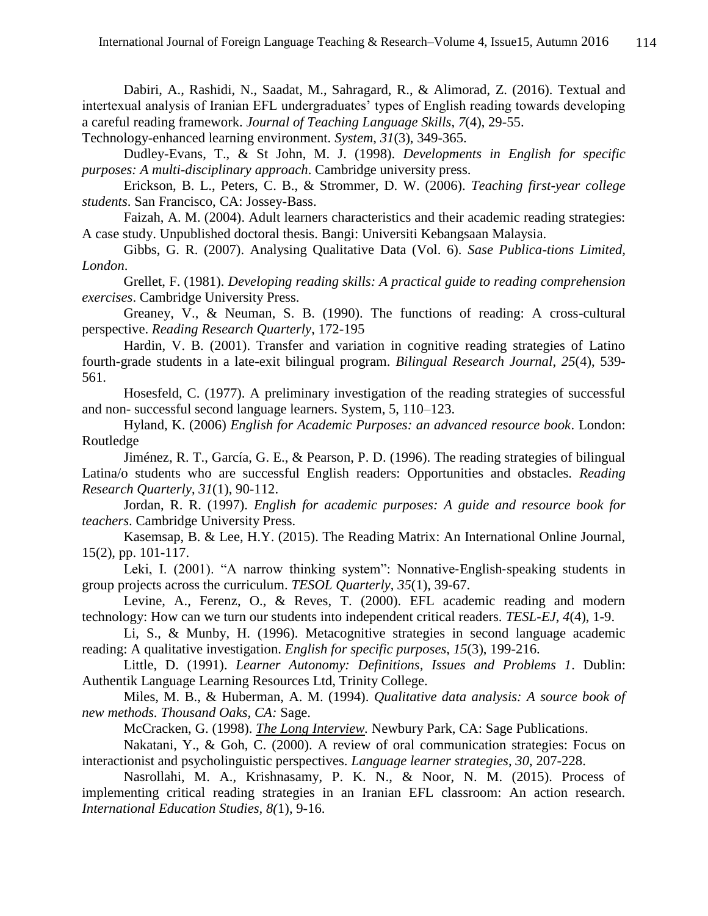Dabiri, A., Rashidi, N., Saadat, M., Sahragard, R., & Alimorad, Z. (2016). Textual and intertexual analysis of Iranian EFL undergraduates' types of English reading towards developing a careful reading framework. *Journal of Teaching Language Skills*, *7*(4), 29-55.

Technology-enhanced learning environment. *System*, *31*(3), 349-365.

Dudley-Evans, T., & St John, M. J. (1998). *Developments in English for specific purposes: A multi-disciplinary approach*. Cambridge university press.

Erickson, B. L., Peters, C. B., & Strommer, D. W. (2006). *Teaching first-year college students*. San Francisco, CA: Jossey-Bass.

Faizah, A. M. (2004). Adult learners characteristics and their academic reading strategies: A case study. Unpublished doctoral thesis. Bangi: Universiti Kebangsaan Malaysia.

Gibbs, G. R. (2007). Analysing Qualitative Data (Vol. 6). *Sase Publica-tions Limited, London*.

Grellet, F. (1981). *Developing reading skills: A practical guide to reading comprehension exercises*. Cambridge University Press.

Greaney, V., & Neuman, S. B. (1990). The functions of reading: A cross-cultural perspective. *Reading Research Quarterly*, 172-195

Hardin, V. B. (2001). Transfer and variation in cognitive reading strategies of Latino fourth-grade students in a late-exit bilingual program. *Bilingual Research Journal*, *25*(4), 539- 561.

Hosesfeld, C. (1977). A preliminary investigation of the reading strategies of successful and non- successful second language learners. System, 5, 110–123.

Hyland, K. (2006) *English for Academic Purposes: an advanced resource book*. London: Routledge

Jiménez, R. T., García, G. E., & Pearson, P. D. (1996). The reading strategies of bilingual Latina/o students who are successful English readers: Opportunities and obstacles. *Reading Research Quarterly*, *31*(1), 90-112.

Jordan, R. R. (1997). *English for academic purposes: A guide and resource book for teachers*. Cambridge University Press.

Kasemsap, B. & Lee, H.Y. (2015). The Reading Matrix: An International Online Journal, 15(2), pp. 101-117.

Leki, I. (2001). "A narrow thinking system": Nonnative-English-speaking students in group projects across the curriculum. *TESOL Quarterly*, *35*(1), 39-67.

Levine, A., Ferenz, O., & Reves, T. (2000). EFL academic reading and modern technology: How can we turn our students into independent critical readers. *TESL-EJ*, *4*(4), 1-9.

Li, S., & Munby, H. (1996). Metacognitive strategies in second language academic reading: A qualitative investigation. *English for specific purposes*, *15*(3), 199-216.

Little, D. (1991). *Learner Autonomy: Definitions, Issues and Problems 1*. Dublin: Authentik Language Learning Resources Ltd, Trinity College.

Miles, M. B., & Huberman, A. M. (1994). *Qualitative data analysis: A source book of new methods. Thousand Oaks, CA:* Sage.

McCracken, G. (1998). *[The Long Interview.](http://books.google.com/books?hl=en&lr=&id=3N01cl2gtoMC&oi=fnd&pg=PA3&sig=gscW2y1c4tgD4vVWNer_zOHz0U0&dq=the+ethnographic+interview&prev=http://scholar.google.com/scholar%3Fq%3Dthe%2Bethnographic%2Binterview%26num%3D100%26hl%3Den%26lr%3D)* Newbury Park, CA: Sage Publications.

Nakatani, Y., & Goh, C. (2000). A review of oral communication strategies: Focus on interactionist and psycholinguistic perspectives. *Language learner strategies*, *30*, 207-228.

Nasrollahi, M. A., Krishnasamy, P. K. N., & Noor, N. M. (2015). Process of implementing critical reading strategies in an Iranian EFL classroom: An action research. *International Education Studies, 8(*1), 9-16.